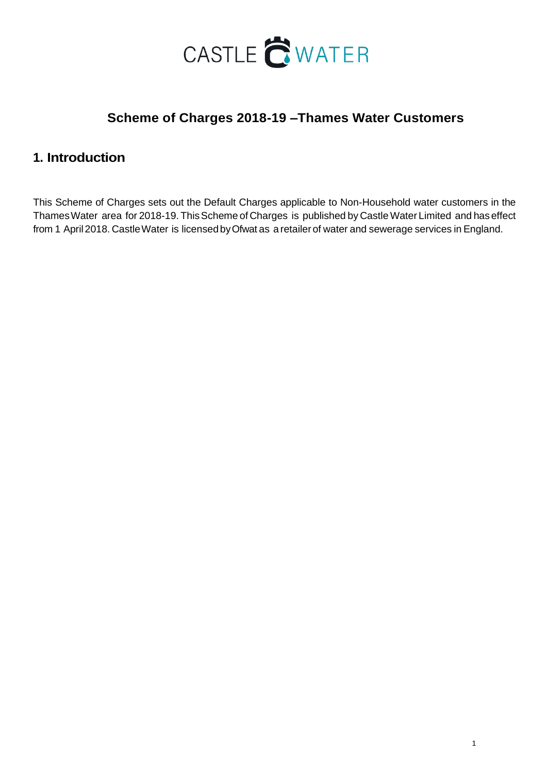

# **Scheme of Charges 2018-19 –Thames Water Customers**

## **1. Introduction**

This Scheme of Charges sets out the Default Charges applicable to Non-Household water customers in the ThamesWater area for 2018-19. ThisScheme of Charges is published by Castle Water Limited and has effect from 1 April 2018. Castle Water is licensed by Ofwat as a retailer of water and sewerage services in England.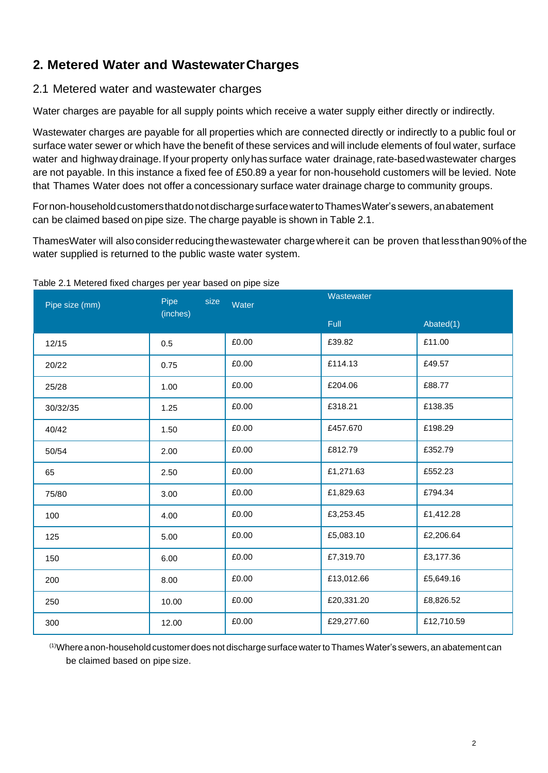# **2. Metered Water and WastewaterCharges**

## 2.1 Metered water and wastewater charges

Water charges are payable for all supply points which receive a water supply either directly or indirectly.

Wastewater charges are payable for all properties which are connected directly or indirectly to a public foul or surface water sewer or which have the benefit of these services and will include elements of foul water, surface water and highway drainage.If your property onlyhas surface water drainage,rate-basedwastewater charges are not payable. In this instance a fixed fee of £50.89 a year for non-household customers will be levied. Note that Thames Water does not offer a concessionary surface water drainage charge to community groups.

For non-household customers that do not discharge surface water to Thames Water's sewers, an abatement can be claimed based on pipe size. The charge payable is shown in Table 2.1.

ThamesWater will also consider reducing the wastewater charge where it can be proven that less than 90% of the water supplied is returned to the public waste water system.

| Pipe size (mm) | Pipe<br>size<br>(inches) | Water | Wastewater |            |
|----------------|--------------------------|-------|------------|------------|
|                |                          |       | Full       | Abated(1)  |
| 12/15          | 0.5                      | £0.00 | £39.82     | £11.00     |
| 20/22          | 0.75                     | £0.00 | £114.13    | £49.57     |
| 25/28          | 1.00                     | £0.00 | £204.06    | £88.77     |
| 30/32/35       | 1.25                     | £0.00 | £318.21    | £138.35    |
| 40/42          | 1.50                     | £0.00 | £457.670   | £198.29    |
| 50/54          | 2.00                     | £0.00 | £812.79    | £352.79    |
| 65             | 2.50                     | £0.00 | £1,271.63  | £552.23    |
| 75/80          | 3.00                     | £0.00 | £1,829.63  | £794.34    |
| 100            | 4.00                     | £0.00 | £3,253.45  | £1,412.28  |
| 125            | 5.00                     | £0.00 | £5,083.10  | £2,206.64  |
| 150            | 6.00                     | £0.00 | £7,319.70  | £3,177.36  |
| 200            | 8.00                     | £0.00 | £13,012.66 | £5,649.16  |
| 250            | 10.00                    | £0.00 | £20,331.20 | £8,826.52  |
| 300            | 12.00                    | £0.00 | £29,277.60 | £12,710.59 |

#### Table 2.1 Metered fixed charges per year based on pipe size

 $^{(1)}$ Where anon-household customer does not discharge surface water to Thames Water's sewers, an abatement can be claimed based on pipe size.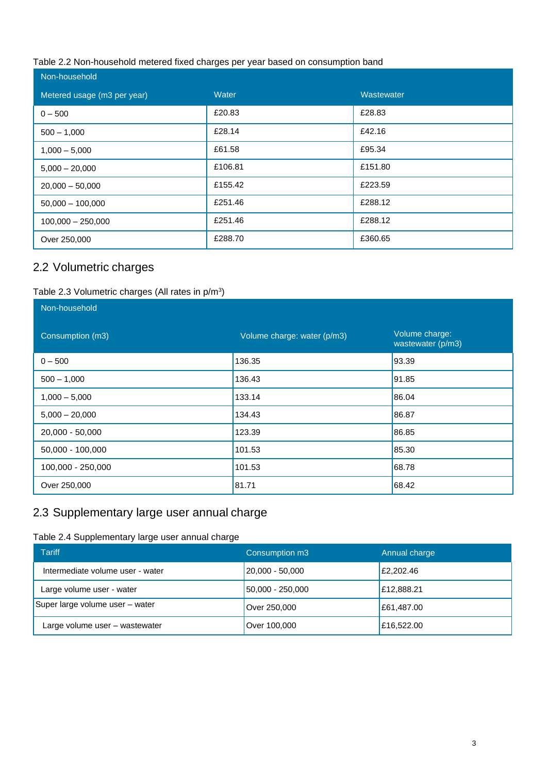#### Table 2.2 Non-household metered fixed charges per year based on consumption band

| Non-household               |         |            |  |  |  |
|-----------------------------|---------|------------|--|--|--|
| Metered usage (m3 per year) | Water   | Wastewater |  |  |  |
| $0 - 500$                   | £20.83  | £28.83     |  |  |  |
| $500 - 1,000$               | £28.14  | £42.16     |  |  |  |
| $1,000 - 5,000$             | £61.58  | £95.34     |  |  |  |
| $5,000 - 20,000$            | £106.81 | £151.80    |  |  |  |
| $20,000 - 50,000$           | £155.42 | £223.59    |  |  |  |
| $50,000 - 100,000$          | £251.46 | £288.12    |  |  |  |
| $100,000 - 250,000$         | £251.46 | £288.12    |  |  |  |
| Over 250,000                | £288.70 | £360.65    |  |  |  |

## 2.2 Volumetric charges

#### Table 2.3 Volumetric charges (All rates in  $p/m^3$ )

| Non-household     |                             |                                     |
|-------------------|-----------------------------|-------------------------------------|
| Consumption (m3)  | Volume charge: water (p/m3) | Volume charge:<br>wastewater (p/m3) |
| $0 - 500$         | 136.35                      | 93.39                               |
| $500 - 1,000$     | 136.43                      | 91.85                               |
| $1,000 - 5,000$   | 133.14                      | 86.04                               |
| $5,000 - 20,000$  | 134.43                      | 86.87                               |
| 20,000 - 50,000   | 123.39                      | 86.85                               |
| 50,000 - 100,000  | 101.53                      | 85.30                               |
| 100,000 - 250,000 | 101.53                      | 68.78                               |
| Over 250,000      | 81.71                       | 68.42                               |

## 2.3 Supplementary large user annual charge

### Table 2.4 Supplementary large user annual charge

| <b>Tariff</b>                    | Consumption m3      | Annual charge |
|----------------------------------|---------------------|---------------|
| Intermediate volume user - water | $ 20,000 - 50,000 $ | £2,202.46     |
| Large volume user - water        | 50,000 - 250,000    | E12,888.21    |
| Super large volume user - water  | Over 250,000        | E61,487.00    |
| Large volume user - wastewater   | Over 100,000        | E16,522.00    |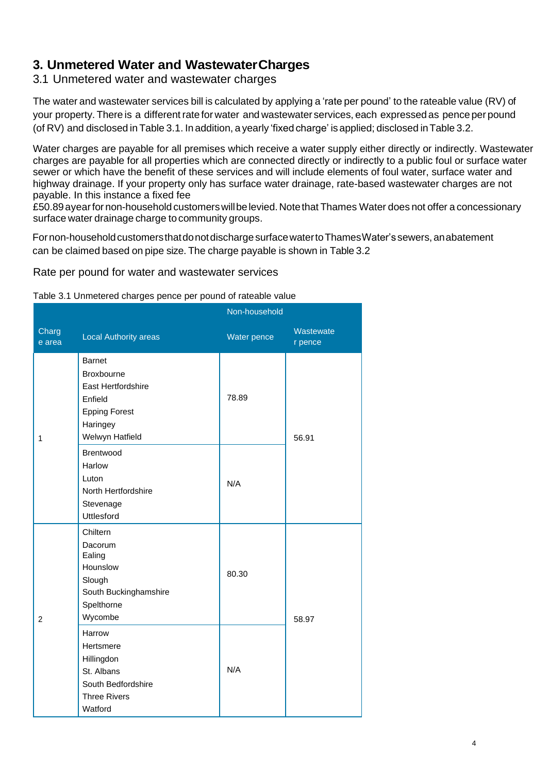# **3. Unmetered Water and WastewaterCharges**

## 3.1 Unmetered water and wastewater charges

The water and wastewater services bill is calculated by applying a 'rate per pound' to the rateable value (RV) of your property. There is a different rate for water and wastewater services, each expressed as pence per pound (of RV) and disclosed in Table 3.1. In addition, a yearly 'fixed charge' is applied; disclosed inTable 3.2.

Water charges are payable for all premises which receive a water supply either directly or indirectly. Wastewater charges are payable for all properties which are connected directly or indirectly to a public foul or surface water sewer or which have the benefit of these services and will include elements of foul water, surface water and highway drainage. If your property only has surface water drainage, rate-based wastewater charges are not payable. In this instance a fixed fee

£50.89 ayear for non-household customers will be levied. Note that Thames Water does not offer a concessionary surface water drainage charge to community groups.

For non-household customers that do not discharge surface water to Thames Water's sewers, an abatement can be claimed based on pipe size. The charge payable is shown in Table 3.2

Rate per pound for water and wastewater services

| Table 3.1 Unmetered charges pence per pound of rateable value |  |  |  |
|---------------------------------------------------------------|--|--|--|
|                                                               |  |  |  |

|                 |                                                                                                                     | Non-household |                      |
|-----------------|---------------------------------------------------------------------------------------------------------------------|---------------|----------------------|
| Charg<br>e area | <b>Local Authority areas</b>                                                                                        | Water pence   | Wastewate<br>r pence |
| 1               | <b>Barnet</b><br>Broxbourne<br>East Hertfordshire<br>Enfield<br><b>Epping Forest</b><br>Haringey<br>Welwyn Hatfield | 78.89         | 56.91                |
|                 | Brentwood<br>Harlow<br>Luton<br>North Hertfordshire<br>Stevenage<br><b>Uttlesford</b>                               | N/A           |                      |
| $\overline{2}$  | Chiltern<br>Dacorum<br>Ealing<br>Hounslow<br>Slough<br>South Buckinghamshire<br>Spelthorne<br>Wycombe               | 80.30         | 58.97                |
|                 | Harrow<br>Hertsmere<br>Hillingdon<br>St. Albans<br>South Bedfordshire<br><b>Three Rivers</b><br>Watford             | N/A           |                      |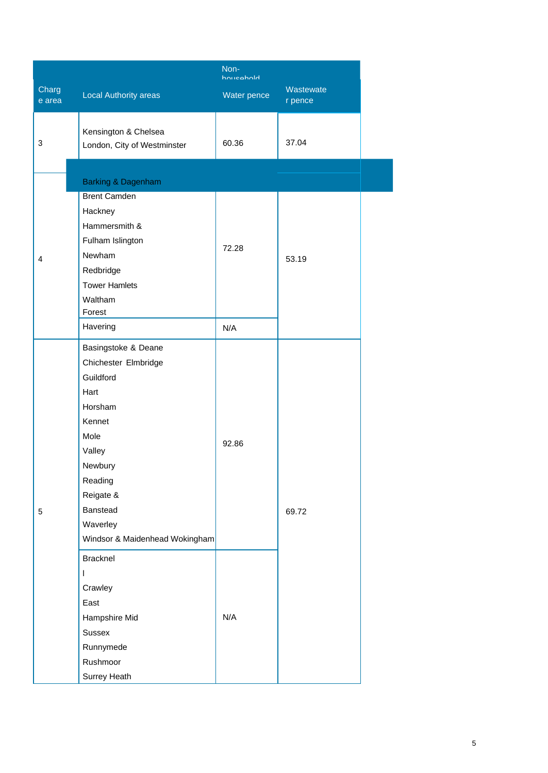| Charg<br>e area | Local Authority areas                                                                                                                                                                                | Non-<br>household<br>Water pence | Wastewate<br>r pence |  |
|-----------------|------------------------------------------------------------------------------------------------------------------------------------------------------------------------------------------------------|----------------------------------|----------------------|--|
| 3               | Kensington & Chelsea<br>London, City of Westminster                                                                                                                                                  | 60.36                            | 37.04                |  |
|                 | Barking & Dagenham                                                                                                                                                                                   |                                  |                      |  |
| 4               | <b>Brent Camden</b><br>Hackney<br>Hammersmith &<br>Fulham Islington<br>Newham<br>Redbridge<br><b>Tower Hamlets</b><br>Waltham<br>Forest                                                              | 72.28                            | 53.19                |  |
|                 | Havering                                                                                                                                                                                             | N/A                              |                      |  |
| 5               | Basingstoke & Deane<br>Chichester Elmbridge<br>Guildford<br>Hart<br>Horsham<br>Kennet<br>Mole<br>Valley<br>Newbury<br>Reading<br>Reigate &<br>Banstead<br>Waverley<br>Windsor & Maidenhead Wokingham | 92.86                            | 69.72                |  |
|                 | <b>Bracknel</b><br>$\mathbf{I}$<br>Crawley<br>East<br>Hampshire Mid<br><b>Sussex</b><br>Runnymede<br>Rushmoor<br>Surrey Heath                                                                        | N/A                              |                      |  |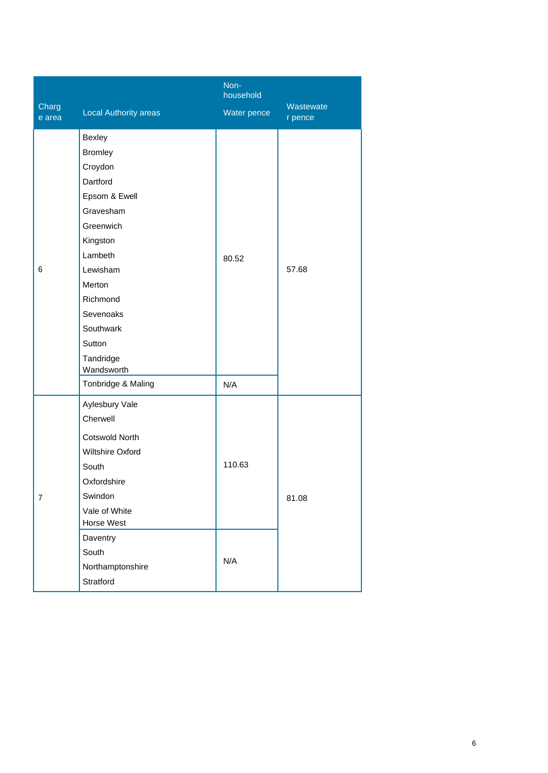| Charg<br>e area | <b>Local Authority areas</b>                                                                                                                                                                                                             | Non-<br>household<br>Water pence | Wastewate<br>r pence |
|-----------------|------------------------------------------------------------------------------------------------------------------------------------------------------------------------------------------------------------------------------------------|----------------------------------|----------------------|
| 6               | Bexley<br><b>Bromley</b><br>Croydon<br>Dartford<br>Epsom & Ewell<br>Gravesham<br>Greenwich<br>Kingston<br>Lambeth<br>Lewisham<br>Merton<br>Richmond<br>Sevenoaks<br>Southwark<br>Sutton<br>Tandridge<br>Wandsworth<br>Tonbridge & Maling | 80.52<br>N/A                     | 57.68                |
| $\overline{7}$  | Aylesbury Vale<br>Cherwell<br><b>Cotswold North</b><br>Wiltshire Oxford<br>South<br>Oxfordshire<br>Swindon<br>Vale of White<br><b>Horse West</b><br>Daventry<br>South<br>Northamptonshire<br>Stratford                                   | 110.63<br>N/A                    | 81.08                |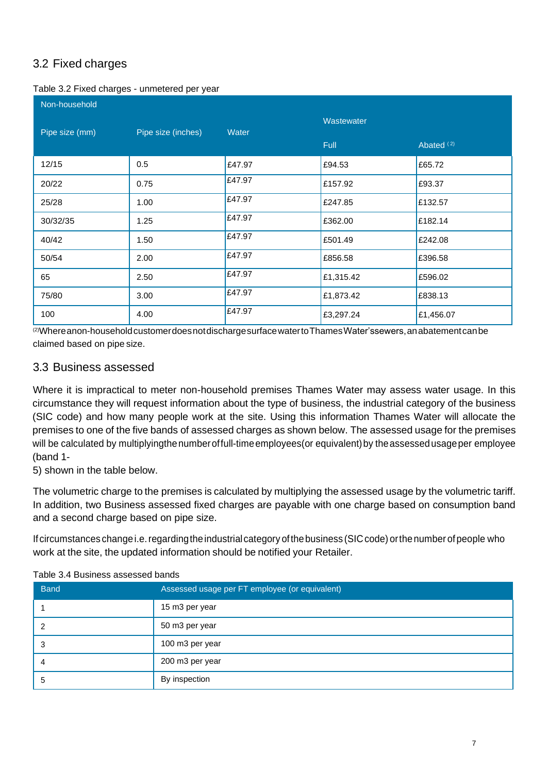# 3.2 Fixed charges

|  | Table 3.2 Fixed charges - unmetered per year |  |
|--|----------------------------------------------|--|
|  |                                              |  |

| Non-household  |                    |        |                           |                       |
|----------------|--------------------|--------|---------------------------|-----------------------|
| Pipe size (mm) | Pipe size (inches) | Water  | Wastewater<br><b>Full</b> | Abated <sup>(2)</sup> |
| 12/15          | 0.5                | £47.97 | £94.53                    | £65.72                |
| 20/22          | 0.75               | £47.97 | £157.92                   | £93.37                |
| 25/28          | 1.00               | £47.97 | £247.85                   | £132.57               |
| 30/32/35       | 1.25               | £47.97 | £362.00                   | £182.14               |
| 40/42          | 1.50               | £47.97 | £501.49                   | £242.08               |
| 50/54          | 2.00               | £47.97 | £856.58                   | £396.58               |
| 65             | 2.50               | £47.97 | £1,315.42                 | £596.02               |
| 75/80          | 3.00               | £47.97 | £1,873.42                 | £838.13               |
| 100            | 4.00               | £47.97 | £3,297.24                 | £1,456.07             |

 $^{\overline{(2)}}$ Whereanon-household customer does not discharge surface water to Thames Water'ssewers, an abatement can be claimed based on pipe size.

## 3.3 Business assessed

Where it is impractical to meter non-household premises Thames Water may assess water usage. In this circumstance they will request information about the type of business, the industrial category of the business (SIC code) and how many people work at the site. Using this information Thames Water will allocate the premises to one of the five bands of assessed charges as shown below. The assessed usage for the premises will be calculated by multiplyingthe number of full-time employees (or equivalent) by the assessed usage per employee (band 1-

5) shown in the table below.

The volumetric charge to the premises is calculated by multiplying the assessed usage by the volumetric tariff. In addition, two Business assessed fixed charges are payable with one charge based on consumption band and a second charge based on pipe size.

If circumstances change i.e. regarding the industrial category of the business (SIC code) or the number of people who work at the site, the updated information should be notified your Retailer.

| <b>Band</b> | Assessed usage per FT employee (or equivalent) |
|-------------|------------------------------------------------|
|             | 15 m3 per year                                 |
|             | 50 m3 per year                                 |
| 3           | 100 m3 per year                                |
| 4           | 200 m3 per year                                |
| 5           | By inspection                                  |

#### Table 3.4 Business assessed bands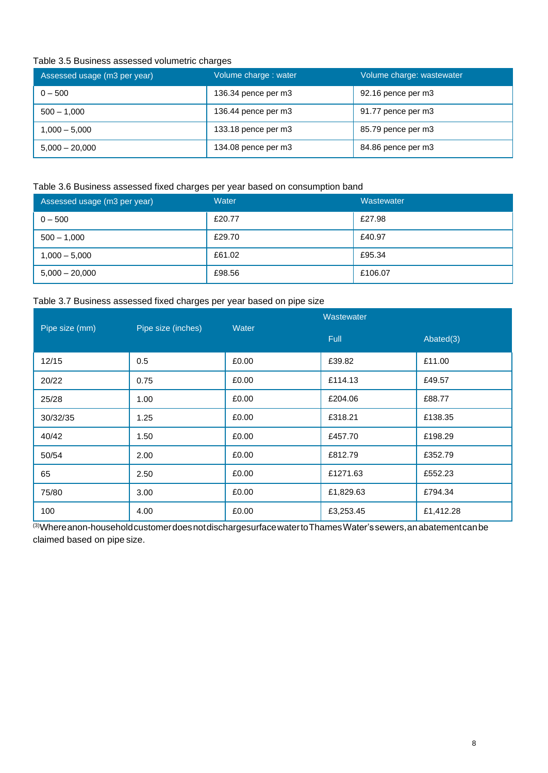#### Table 3.5 Business assessed volumetric charges

| Assessed usage (m3 per year) | Volume charge: water | Volume charge: wastewater |
|------------------------------|----------------------|---------------------------|
| $0 - 500$                    | 136.34 pence per m3  | 92.16 pence per m3        |
| $500 - 1,000$                | 136.44 pence per m3  | 91.77 pence per m3        |
| 1,000 – 5,000                | 133.18 pence per m3  | 85.79 pence per m3        |
| $5,000 - 20,000$             | 134.08 pence per m3  | 84.86 pence per m3        |

#### Table 3.6 Business assessed fixed charges per year based on consumption band

| Assessed usage (m3 per year) | Water  | Wastewater |
|------------------------------|--------|------------|
| $0 - 500$                    | £20.77 | £27.98     |
| $500 - 1,000$                | £29.70 | £40.97     |
| $1,000 - 5,000$              | £61.02 | £95.34     |
| $5,000 - 20,000$             | £98.56 | £106.07    |

#### Table 3.7 Business assessed fixed charges per year based on pipe size

| Pipe size (mm) | Pipe size (inches) | Water | Wastewater  |           |
|----------------|--------------------|-------|-------------|-----------|
|                |                    |       | <b>Full</b> | Abated(3) |
| 12/15          | 0.5                | £0.00 | £39.82      | £11.00    |
| 20/22          | 0.75               | £0.00 | £114.13     | £49.57    |
| 25/28          | 1.00               | £0.00 | £204.06     | £88.77    |
| 30/32/35       | 1.25               | £0.00 | £318.21     | £138.35   |
| 40/42          | 1.50               | £0.00 | £457.70     | £198.29   |
| 50/54          | 2.00               | £0.00 | £812.79     | £352.79   |
| 65             | 2.50               | £0.00 | £1271.63    | £552.23   |
| 75/80          | 3.00               | £0.00 | £1,829.63   | £794.34   |
| 100            | 4.00               | £0.00 | £3,253.45   | £1,412.28 |

(3)Whereanon-household customer does not dischargesurface water to Thames Water's sewers, an abatement can be claimed based on pipe size.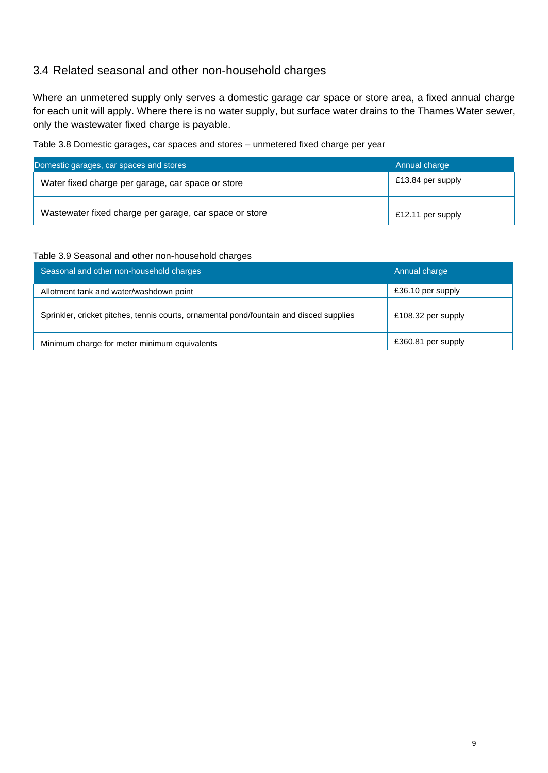## 3.4 Related seasonal and other non-household charges

Where an unmetered supply only serves a domestic garage car space or store area, a fixed annual charge for each unit will apply. Where there is no water supply, but surface water drains to the Thames Water sewer, only the wastewater fixed charge is payable.

Table 3.8 Domestic garages, car spaces and stores – unmetered fixed charge per year

| Domestic garages, car spaces and stores                | Annual charge     |
|--------------------------------------------------------|-------------------|
| Water fixed charge per garage, car space or store      | £13.84 per supply |
| Wastewater fixed charge per garage, car space or store | £12.11 per supply |

#### Table 3.9 Seasonal and other non-household charges

| Seasonal and other non-household charges                                                | Annual charge      |
|-----------------------------------------------------------------------------------------|--------------------|
| Allotment tank and water/washdown point                                                 | £36.10 per supply  |
| Sprinkler, cricket pitches, tennis courts, ornamental pond/fountain and disced supplies | £108.32 per supply |
| Minimum charge for meter minimum equivalents                                            | £360.81 per supply |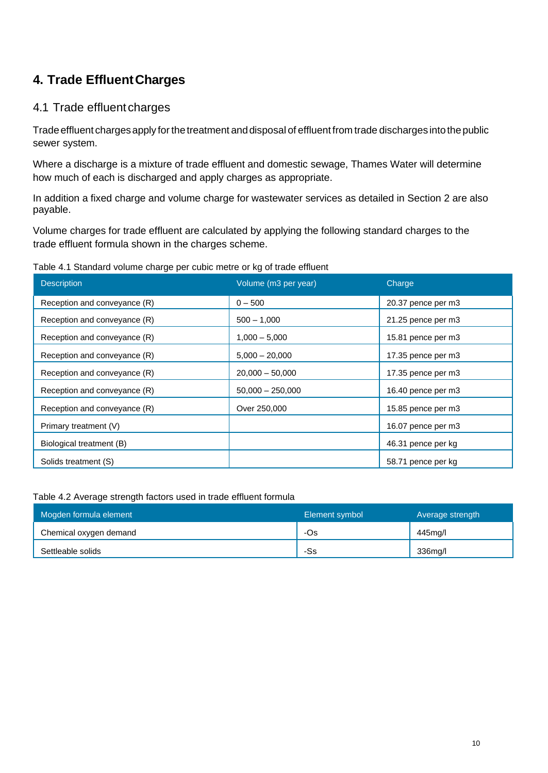# **4. Trade EffluentCharges**

## 4.1 Trade effluent charges

Trade effluent charges apply for the treatment and disposal of effluent from trade discharges into the public sewer system.

Where a discharge is a mixture of trade effluent and domestic sewage, Thames Water will determine how much of each is discharged and apply charges as appropriate.

In addition a fixed charge and volume charge for wastewater services as detailed in Section 2 are also payable.

Volume charges for trade effluent are calculated by applying the following standard charges to the trade effluent formula shown in the charges scheme.

Table 4.1 Standard volume charge per cubic metre or kg of trade effluent

| <b>Description</b>           | Volume (m3 per year) | Charge             |
|------------------------------|----------------------|--------------------|
| Reception and conveyance (R) | $0 - 500$            | 20.37 pence per m3 |
| Reception and conveyance (R) | $500 - 1,000$        | 21.25 pence per m3 |
| Reception and conveyance (R) | $1,000 - 5,000$      | 15.81 pence per m3 |
| Reception and conveyance (R) | $5,000 - 20,000$     | 17.35 pence per m3 |
| Reception and conveyance (R) | $20,000 - 50,000$    | 17.35 pence per m3 |
| Reception and conveyance (R) | $50,000 - 250,000$   | 16.40 pence per m3 |
| Reception and conveyance (R) | Over 250,000         | 15.85 pence per m3 |
| Primary treatment (V)        |                      | 16.07 pence per m3 |
| Biological treatment (B)     |                      | 46.31 pence per kg |
| Solids treatment (S)         |                      | 58.71 pence per kg |

Table 4.2 Average strength factors used in trade effluent formula

| Mogden formula element | Element symbol | Average strength |
|------------------------|----------------|------------------|
| Chemical oxygen demand | -Os            | 445mg/l          |
| Settleable solids      | -Ss            | 336mg/l          |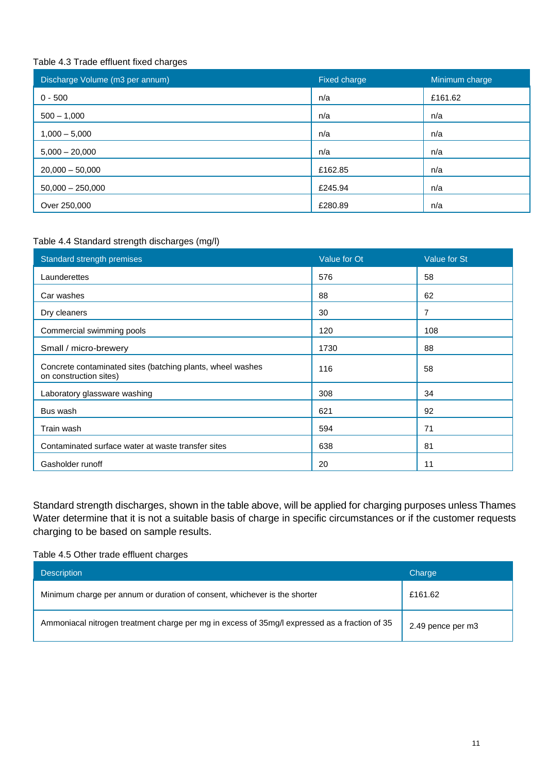#### Table 4.3 Trade effluent fixed charges

| Discharge Volume (m3 per annum) | Fixed charge | Minimum charge |
|---------------------------------|--------------|----------------|
| $0 - 500$                       | n/a          | £161.62        |
| $500 - 1,000$                   | n/a          | n/a            |
| $1,000 - 5,000$                 | n/a          | n/a            |
| $5,000 - 20,000$                | n/a          | n/a            |
| $20,000 - 50,000$               | £162.85      | n/a            |
| $50,000 - 250,000$              | £245.94      | n/a            |
| Over 250,000                    | £280.89      | n/a            |

### Table 4.4 Standard strength discharges (mg/l)

| Standard strength premises                                                           | Value for Ot | Value for St |
|--------------------------------------------------------------------------------------|--------------|--------------|
| Launderettes                                                                         | 576          | 58           |
| Car washes                                                                           | 88           | 62           |
| Dry cleaners                                                                         | 30           | 7            |
| Commercial swimming pools                                                            | 120          | 108          |
| Small / micro-brewery                                                                | 1730         | 88           |
| Concrete contaminated sites (batching plants, wheel washes<br>on construction sites) | 116          | 58           |
| Laboratory glassware washing                                                         | 308          | 34           |
| Bus wash                                                                             | 621          | 92           |
| Train wash                                                                           | 594          | 71           |
| Contaminated surface water at waste transfer sites                                   | 638          | 81           |
| Gasholder runoff                                                                     | 20           | 11           |

Standard strength discharges, shown in the table above, will be applied for charging purposes unless Thames Water determine that it is not a suitable basis of charge in specific circumstances or if the customer requests charging to be based on sample results.

#### Table 4.5 Other trade effluent charges

| <b>Description</b>                                                                            | Charge            |
|-----------------------------------------------------------------------------------------------|-------------------|
| Minimum charge per annum or duration of consent, whichever is the shorter                     | £161.62           |
| Ammoniacal nitrogen treatment charge per mg in excess of 35mg/l expressed as a fraction of 35 | 2.49 pence per m3 |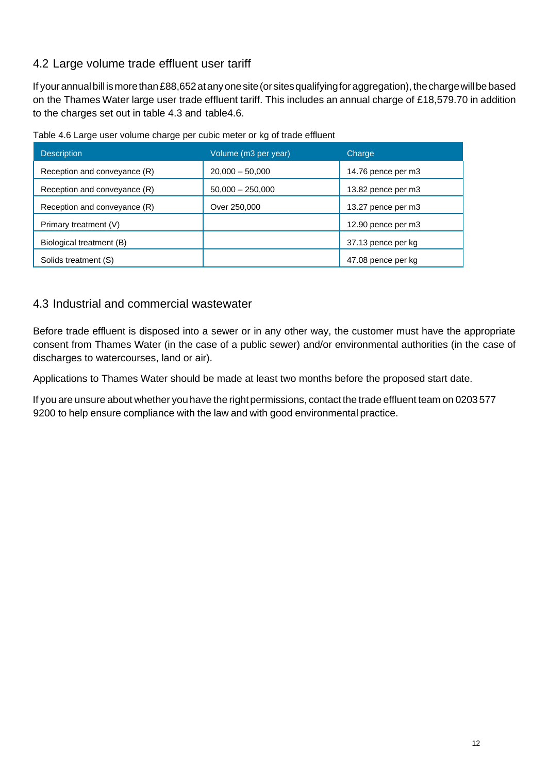# 4.2 Large volume trade effluent user tariff

If your annual bill is more than £88,652 at any one site (or sites qualifying for aggregation), the charge will be based on the Thames Water large user trade effluent tariff. This includes an annual charge of £18,579.70 in addition to the charges set out in table 4.3 and table4.6.

|  | Table 4.6 Large user volume charge per cubic meter or kg of trade effluent |
|--|----------------------------------------------------------------------------|
|  |                                                                            |

| <b>Description</b>           | Volume (m3 per year) | Charge             |
|------------------------------|----------------------|--------------------|
| Reception and conveyance (R) | $20,000 - 50,000$    | 14.76 pence per m3 |
| Reception and conveyance (R) | $50,000 - 250,000$   | 13.82 pence per m3 |
| Reception and conveyance (R) | Over 250,000         | 13.27 pence per m3 |
| Primary treatment (V)        |                      | 12.90 pence per m3 |
| Biological treatment (B)     |                      | 37.13 pence per kg |
| Solids treatment (S)         |                      | 47.08 pence per kg |

## 4.3 Industrial and commercial wastewater

Before trade effluent is disposed into a sewer or in any other way, the customer must have the appropriate consent from Thames Water (in the case of a public sewer) and/or environmental authorities (in the case of discharges to watercourses, land or air).

Applications to Thames Water should be made at least two months before the proposed start date.

If you are unsure about whether you have the right permissions, contact the trade effluent team on 0203 577 9200 to help ensure compliance with the law and with good environmental practice.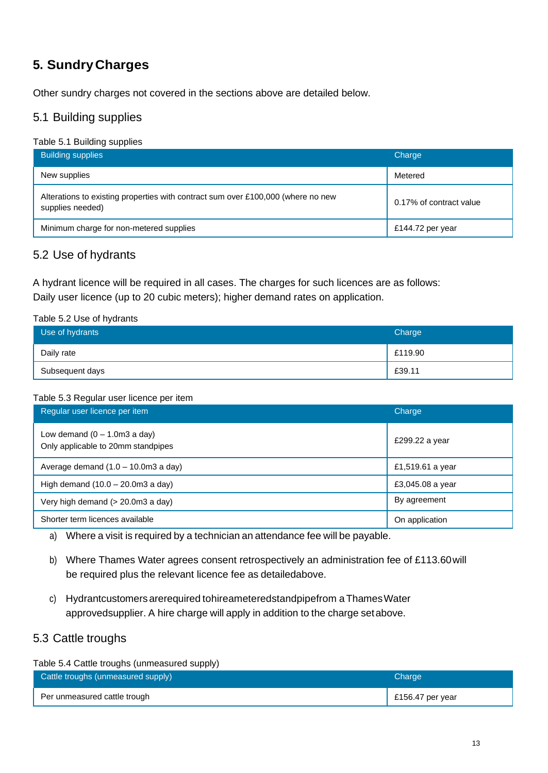# **5. SundryCharges**

Other sundry charges not covered in the sections above are detailed below.

## 5.1 Building supplies

#### Table 5.1 Building supplies

| <b>Building supplies</b>                                                                             | Charge                  |
|------------------------------------------------------------------------------------------------------|-------------------------|
| New supplies                                                                                         | Metered                 |
| Alterations to existing properties with contract sum over £100,000 (where no new<br>supplies needed) | 0.17% of contract value |
| Minimum charge for non-metered supplies                                                              | £144.72 per year        |

## 5.2 Use of hydrants

A hydrant licence will be required in all cases. The charges for such licences are as follows: Daily user licence (up to 20 cubic meters); higher demand rates on application.

#### Table 5.2 Use of hydrants

| Use of hydrants | Charge  |
|-----------------|---------|
| Daily rate      | £119.90 |
| Subsequent days | £39.11  |

#### Table 5.3 Regular user licence per item

| Regular user licence per item                                         | Charge           |
|-----------------------------------------------------------------------|------------------|
| Low demand $(0 - 1.0$ m3 a day)<br>Only applicable to 20mm standpipes | £299.22 a year   |
| Average demand $(1.0 - 10.0 \text{m}3 \text{ a day})$                 | £1,519.61 a year |
| High demand $(10.0 - 20.0 \text{m}3 \text{ a day})$                   | £3,045.08 a year |
| Very high demand (> 20.0m3 a day)                                     | By agreement     |
| Shorter term licences available                                       | On application   |

a) Where a visit is required by a technician an attendance fee will be payable.

- b) Where Thames Water agrees consent retrospectively an administration fee of £113.60will be required plus the relevant licence fee as detailedabove.
- c) Hydrantcustomers arerequired tohireameteredstandpipefrom a Thames Water approvedsupplier. A hire charge will apply in addition to the charge setabove.

## 5.3 Cattle troughs

Table 5.4 Cattle troughs (unmeasured supply)

| Cattle troughs (unmeasured supply) | Charge             |
|------------------------------------|--------------------|
| Per unmeasured cattle trough       | $E156.47$ per year |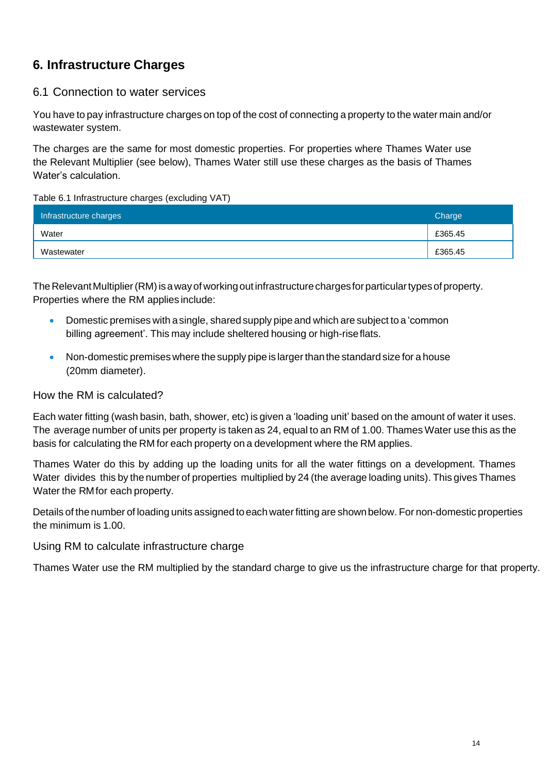# **6. Infrastructure Charges**

## 6.1 Connection to water services

You have to pay infrastructure charges on top of the cost of connecting a property to the water main and/or wastewater system.

The charges are the same for most domestic properties. For properties where Thames Water use the Relevant Multiplier (see below), Thames Water still use these charges as the basis of Thames Water's calculation.

#### Table 6.1 Infrastructure charges (excluding VAT)

| Infrastructure charges | Charge  |
|------------------------|---------|
| Water                  | £365.45 |
| Wastewater             | £365.45 |

The Relevant Multiplier (RM) is a way of working out infrastructure charges for particular types of property. Properties where the RM applies include:

- Domestic premises with asingle, shared supply pipe and which are subject to a 'common billing agreement'. This may include sheltered housing or high-riseflats.
- Non-domestic premises where the supply pipe is larger than the standard size for a house (20mm diameter).

### How the RM is calculated?

Each water fitting (wash basin, bath, shower, etc) is given a 'loading unit' based on the amount of water it uses. The average number of units per property is taken as 24, equal to an RM of 1.00. Thames Water use this as the basis for calculating the RM for each property on a development where the RM applies.

Thames Water do this by adding up the loading units for all the water fittings on a development. Thames Water divides this by the number of properties multiplied by 24 (the average loading units). This gives Thames Water the RMfor each property.

Details of the number of loading units assigned to each water fitting are shown below. For non-domestic properties the minimum is 1.00.

### Using RM to calculate infrastructure charge

Thames Water use the RM multiplied by the standard charge to give us the infrastructure charge for that property.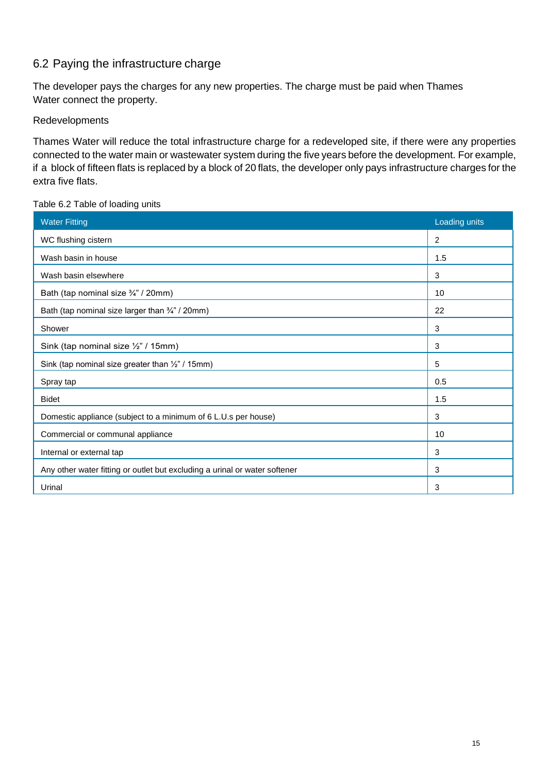## 6.2 Paying the infrastructure charge

The developer pays the charges for any new properties. The charge must be paid when Thames Water connect the property.

### Redevelopments

Thames Water will reduce the total infrastructure charge for a redeveloped site, if there were any properties connected to the water main or wastewater system during the five years before the development. For example, if a block of fifteen flats is replaced by a block of 20 flats, the developer only pays infrastructure charges for the extra five flats.

#### Table 6.2 Table of loading units

| <b>Water Fitting</b>                                                       | Loading units |
|----------------------------------------------------------------------------|---------------|
| WC flushing cistern                                                        | 2             |
| Wash basin in house                                                        | 1.5           |
| Wash basin elsewhere                                                       | 3             |
| Bath (tap nominal size 3/4" / 20mm)                                        | 10            |
| Bath (tap nominal size larger than 3/4" / 20mm)                            | 22            |
| Shower                                                                     | 3             |
| Sink (tap nominal size 1/2" / 15mm)                                        | 3             |
| Sink (tap nominal size greater than 1/2" / 15mm)                           | 5             |
| Spray tap                                                                  | 0.5           |
| <b>Bidet</b>                                                               | 1.5           |
| Domestic appliance (subject to a minimum of 6 L.U.s per house)             | 3             |
| Commercial or communal appliance                                           | 10            |
| Internal or external tap                                                   | 3             |
| Any other water fitting or outlet but excluding a urinal or water softener | 3             |
| Urinal                                                                     | 3             |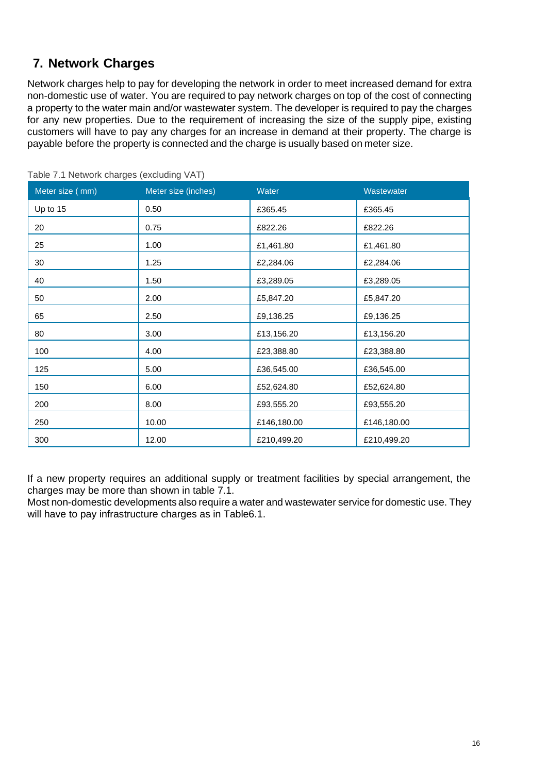# **7. Network Charges**

Network charges help to pay for developing the network in order to meet increased demand for extra non-domestic use of water. You are required to pay network charges on top of the cost of connecting a property to the water main and/or wastewater system. The developer is required to pay the charges for any new properties. Due to the requirement of increasing the size of the supply pipe, existing customers will have to pay any charges for an increase in demand at their property. The charge is payable before the property is connected and the charge is usually based on meter size.

| Meter size (mm) | Meter size (inches) | Water       | Wastewater  |
|-----------------|---------------------|-------------|-------------|
| Up to 15        | 0.50                | £365.45     | £365.45     |
| 20              | 0.75                | £822.26     | £822.26     |
| 25              | 1.00                | £1,461.80   | £1,461.80   |
| 30              | 1.25                | £2,284.06   | £2,284.06   |
| 40              | 1.50                | £3,289.05   | £3,289.05   |
| 50              | 2.00                | £5,847.20   | £5,847.20   |
| 65              | 2.50                | £9,136.25   | £9,136.25   |
| 80              | 3.00                | £13,156.20  | £13,156.20  |
| 100             | 4.00                | £23,388.80  | £23,388.80  |
| 125             | 5.00                | £36,545.00  | £36,545.00  |
| 150             | 6.00                | £52,624.80  | £52,624.80  |
| 200             | 8.00                | £93,555.20  | £93,555.20  |
| 250             | 10.00               | £146,180.00 | £146,180.00 |
| 300             | 12.00               | £210,499.20 | £210,499.20 |

Table 7.1 Network charges (excluding VAT)

If a new property requires an additional supply or treatment facilities by special arrangement, the charges may be more than shown in table 7.1.

Most non-domestic developments also require a water and wastewater service for domestic use. They will have to pay infrastructure charges as in Table6.1.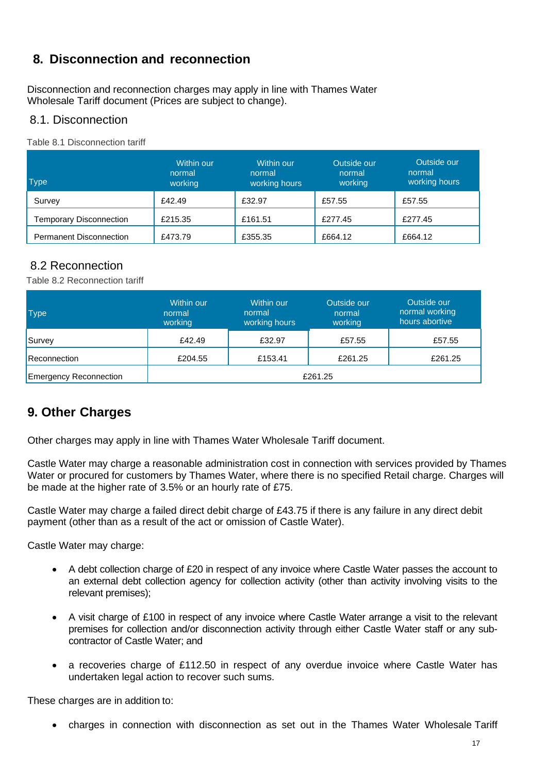# **8. Disconnection and reconnection**

Disconnection and reconnection charges may apply in line with Thames Water Wholesale Tariff document (Prices are subject to change).

## 8.1. Disconnection

Table 8.1 Disconnection tariff

| <b>Type</b>                    | Within our<br>normal<br>working | Within our<br>normal<br>working hours | Outside our<br>normal<br>working | Outside our<br>normal<br>working hours |
|--------------------------------|---------------------------------|---------------------------------------|----------------------------------|----------------------------------------|
| Survey                         | £42.49                          | £32.97                                | £57.55                           | £57.55                                 |
| <b>Temporary Disconnection</b> | £215.35                         | £161.51                               | £277.45                          | £277.45                                |
| <b>Permanent Disconnection</b> | £473.79                         | £355.35                               | £664.12                          | £664.12                                |

## 8.2 Reconnection

Table 8.2 Reconnection tariff

| <b>Type</b>                   | Within our<br>normal<br>working | Within our<br>normal<br>working hours | Outside our<br>normal<br>working | Outside our<br>normal working<br>hours abortive |
|-------------------------------|---------------------------------|---------------------------------------|----------------------------------|-------------------------------------------------|
| Survey                        | £42.49                          | £32.97                                | £57.55                           | £57.55                                          |
| <b>Reconnection</b>           | £204.55                         | £153.41                               | £261.25                          | £261.25                                         |
| <b>Emergency Reconnection</b> | £261.25                         |                                       |                                  |                                                 |

# **9. Other Charges**

Other charges may apply in line with Thames Water Wholesale Tariff document.

Castle Water may charge a reasonable administration cost in connection with services provided by Thames Water or procured for customers by Thames Water, where there is no specified Retail charge. Charges will be made at the higher rate of 3.5% or an hourly rate of £75.

Castle Water may charge a failed direct debit charge of £43.75 if there is any failure in any direct debit payment (other than as a result of the act or omission of Castle Water).

Castle Water may charge:

- A debt collection charge of £20 in respect of any invoice where Castle Water passes the account to an external debt collection agency for collection activity (other than activity involving visits to the relevant premises);
- A visit charge of £100 in respect of any invoice where Castle Water arrange a visit to the relevant premises for collection and/or disconnection activity through either Castle Water staff or any subcontractor of Castle Water; and
- a recoveries charge of £112.50 in respect of any overdue invoice where Castle Water has undertaken legal action to recover such sums.

These charges are in addition to:

• charges in connection with disconnection as set out in the Thames Water Wholesale Tariff